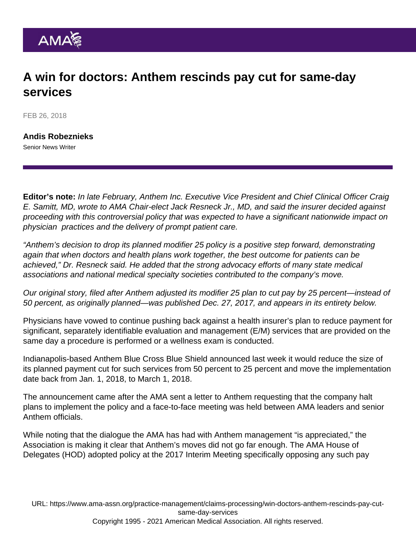## A win for doctors: Anthem rescinds pay cut for same-day services

FEB 26, 2018

[Andis Robeznieks](https://www.ama-assn.org/news-leadership-viewpoints/authors-news-leadership-viewpoints/andis-robeznieks) Senior News Writer

Editor's note: In late February, Anthem Inc. Executive Vice President and Chief Clinical Officer Craig E. Samitt, MD, [wrote](https://www.ama-assn.org/sites/ama-assn.org/files/corp/media-browser/public/government/advocacy/Anthem-Ltr-to-AMA-on-Mod-25-022218-FINAL.PDF) to AMA Chair-elect Jack Resneck Jr., MD, and said the insurer decided against proceeding with this controversial policy that was expected to have a significant nationwide impact on physician practices and the delivery of prompt patient care.

"Anthem's decision to drop its planned modifier 25 policy is a positive step forward, demonstrating again that when doctors and health plans work together, the best outcome for patients can be achieved," Dr. Resneck said. He added that the strong advocacy efforts of many state medical associations and national medical specialty societies contributed to the company's move.

Our original story, filed after Anthem adjusted its modifier 25 plan to cut pay by 25 percent—instead of 50 percent, as originally planned—was published Dec. 27, 2017, and appears in its entirety below.

Physicians have vowed to continue pushing back against a health insurer's plan to reduce payment for significant, separately identifiable evaluation and management (E/M) services that are provided on the same day a procedure is performed or a wellness exam is conducted.

Indianapolis-based Anthem Blue Cross Blue Shield announced last week it would reduce the size of its planned payment cut for such services from 50 percent to 25 percent and move the implementation date back from Jan. 1, 2018, to March 1, 2018.

The announcement came after the AMA sent a [letter](https://searchlf.ama-assn.org/undefined/documentDownload?uri=/unstructured/binary/letter/LETTERS/Anthem-CPT-modifier-25-11-2017.pdf) to Anthem requesting that the company halt plans to implement the policy and a face-to-face meeting was held between AMA leaders and senior Anthem officials.

While noting that the dialogue the AMA has had with Anthem management "is appreciated," the Association is making it clear that Anthem's moves did not go far enough. The AMA House of Delegates (HOD) adopted policy at the [2017 Interim Meeting](https://www.ama-assn.org/press-center/press-releases/ama-adopts-additional-policies-2017-interim-meeting) specifically opposing any such pay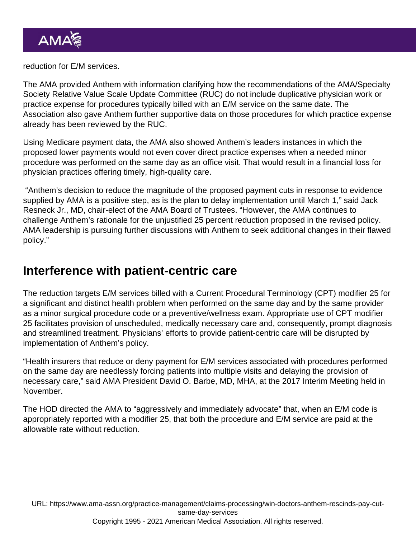reduction for E/M services.

The AMA provided Anthem with information clarifying how the recommendations of the AMA/Specialty Society Relative Value Scale Update Committee (RUC) do not include duplicative physician work or practice expense for procedures typically billed with an E/M service on the same date. The Association also gave Anthem further supportive data on those procedures for which practice expense already has been reviewed by the RUC.

Using Medicare payment data, the AMA also showed Anthem's leaders instances in which the proposed lower payments would not even cover direct practice expenses when a needed minor procedure was performed on the same day as an office visit. That would result in a financial loss for physician practices offering timely, high-quality care.

 "Anthem's decision to reduce the magnitude of the proposed payment cuts in response to evidence supplied by AMA is a positive step, as is the plan to delay implementation until March 1," said Jack Resneck Jr., MD, chair-elect of the AMA Board of Trustees. "However, the AMA continues to challenge Anthem's rationale for the unjustified 25 percent reduction proposed in the revised policy. AMA leadership is pursuing further discussions with Anthem to seek additional changes in their flawed policy."

## Interference with patient-centric care

The reduction targets E/M services billed with a Current Procedural Terminology (CPT) modifier 25 for a significant and distinct health problem when performed on the same day and by the same provider as a minor surgical procedure code or a preventive/wellness exam. Appropriate use of CPT modifier 25 facilitates provision of unscheduled, medically necessary care and, consequently, prompt diagnosis and streamlined treatment. Physicians' efforts to provide patient-centric care will be disrupted by implementation of Anthem's policy.

"Health insurers that reduce or deny payment for E/M services associated with procedures performed on the same day are needlessly forcing patients into multiple visits and delaying the provision of necessary care," said AMA President David O. Barbe, MD, MHA, at the 2017 Interim Meeting held in November.

The HOD directed the AMA to "aggressively and immediately advocate" that, when an E/M code is appropriately reported with a modifier 25, that both the procedure and E/M service are paid at the allowable rate without reduction.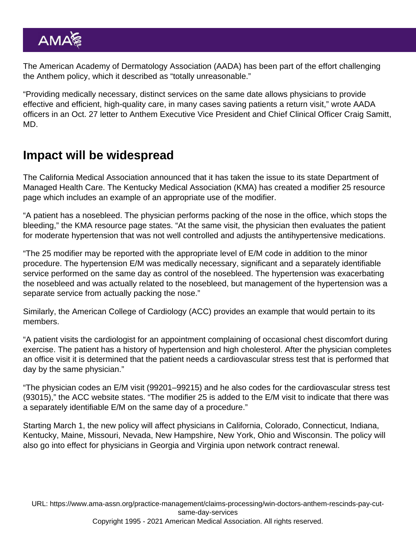The American Academy of Dermatology Association (AADA) has been part of the effort challenging the Anthem policy, which it described as "totally unreasonable."

"Providing medically necessary, distinct services on the same date allows physicians to provide effective and efficient, high-quality care, in many cases saving patients a return visit," wrote AADA officers in an Oct. 27 letter to Anthem Executive Vice President and Chief Clinical Officer Craig Samitt, MD.

## Impact will be widespread

The California Medical Association announced that it has taken the issue to its state Department of Managed Health Care. The Kentucky Medical Association (KMA) has created a modifier 25 [resource](https://kyma.org/2017/11/22/modifier-madness-focus-on-modifier-25/) [page](https://kyma.org/2017/11/22/modifier-madness-focus-on-modifier-25/) which includes an example of an appropriate use of the modifier.

"A patient has a nosebleed. The physician performs packing of the nose in the office, which stops the bleeding," the KMA resource page states. "At the same visit, the physician then evaluates the patient for moderate hypertension that was not well controlled and adjusts the antihypertensive medications.

"The 25 modifier may be reported with the appropriate level of E/M code in addition to the minor procedure. The hypertension E/M was medically necessary, significant and a separately identifiable service performed on the same day as control of the nosebleed. The hypertension was exacerbating the nosebleed and was actually related to the nosebleed, but management of the hypertension was a separate service from actually packing the nose."

Similarly, the American College of Cardiology (ACC) provides an [example](http://www.acc.org/tools-and-practice-support/practice-solutions/coding-and-reimbursement/appropriate-use-of-modifier-25) that would pertain to its members.

"A patient visits the cardiologist for an appointment complaining of occasional chest discomfort during exercise. The patient has a history of hypertension and high cholesterol. After the physician completes an office visit it is determined that the patient needs a cardiovascular stress test that is performed that day by the same physician."

"The physician codes an E/M visit (99201–99215) and he also codes for the cardiovascular stress test (93015)," the ACC website states. "The modifier 25 is added to the E/M visit to indicate that there was a separately identifiable E/M on the same day of a procedure."

Starting March 1, the new policy will affect physicians in California, Colorado, Connecticut, Indiana, Kentucky, Maine, Missouri, Nevada, New Hampshire, New York, Ohio and Wisconsin. The policy will also go into effect for physicians in Georgia and Virginia upon network contract renewal.